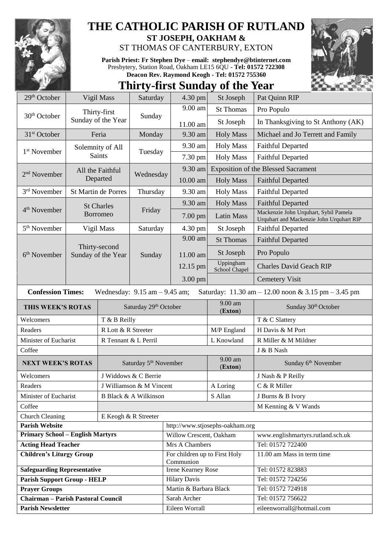

## **THE CATHOLIC PARISH OF RUTLAND**

**ST JOSEPH, OAKHAM &**  ST THOMAS OF CANTERBURY, EXTON

**Parish Priest: Fr Stephen Dye** – **[email: stephendye@btinternet.com](mailto:email:%20%20stephendye@btinternet.com)** Presbytery, Station Road, Oakham LE15 6QU - **Tel: 01572 722308 Deacon Rev. Raymond Keogh - Tel: 01572 755360**

## **Thirty-first Sunday of the Year** 29<sup>th</sup> October Vigil Mass Saturday 4.30 pm St Joseph Pat Quinn RIP

| Thirty-first<br>30 <sup>th</sup> October<br>Sunday<br>Sunday of the Year<br>In Thanksgiving to St Anthony (AK)<br>St Joseph<br>11.00 am<br>9.30 am<br>31 <sup>st</sup> October<br>Feria<br>Monday<br><b>Holy Mass</b><br>Michael and Jo Terrett and Family<br>9.30 am<br><b>Holy Mass</b><br><b>Faithful Departed</b><br>Solemnity of All<br>1 <sup>st</sup> November<br>Tuesday<br><b>Saints</b><br>7.30 pm<br><b>Holy Mass</b><br><b>Faithful Departed</b><br><b>Exposition of the Blessed Sacrament</b><br>9.30 am<br>All the Faithful<br>2 <sup>nd</sup> November<br>Wednesday<br>Departed<br>10.00 am<br><b>Holy Mass</b><br><b>Faithful Departed</b><br>3 <sup>rd</sup> November<br>St Martin de Porres<br>Thursday<br>9.30 am<br><b>Holy Mass</b><br><b>Faithful Departed</b><br><b>Holy Mass</b><br>9.30 am<br><b>Faithful Departed</b><br><b>St Charles</b><br>4 <sup>th</sup> November<br>Friday<br>Mackenzie John Urquhart, Sybil Pamela<br><b>Borromeo</b><br>$7.00$ pm<br><b>Latin Mass</b><br>Urquhart and Mackenzie John Urquhart RIP<br>5 <sup>th</sup> November<br>4.30 pm<br><b>Faithful Departed</b><br>Vigil Mass<br>Saturday<br>St Joseph<br>9.00 am<br><b>St Thomas</b><br><b>Faithful Departed</b><br>Thirty-second<br>Pro Populo<br>St Joseph<br>$6th$ November<br>Sunday of the Year<br>11.00 am<br>Sunday<br>Uppingham<br>12.15 pm<br><b>Charles David Geach RIP</b><br>School Chapel<br>3.00 pm<br><b>Cemetery Visit</b><br><b>Confession Times:</b><br>Saturday: $11.30 \text{ am} - 12.00 \text{ noon} \& 3.15 \text{ pm} - 3.45 \text{ pm}$<br>Wednesday: $9.15$ am $- 9.45$ am;<br>$9.00$ am<br>Saturday 29th October<br>Sunday 30 <sup>th</sup> October<br>THIS WEEK'S ROTAS<br>(Exton)<br>T & C Slattery<br>Welcomers<br>T & B Reilly<br>Readers<br>R Lott & R Streeter<br>M/P England<br>H Davis & M Port<br>Minister of Eucharist<br>L Knowland<br>R Miller & M Mildner<br>R Tennant & L Perril<br>Coffee<br>J & B Nash<br>9.00 am<br>Saturday 5 <sup>th</sup> November<br>Sunday 6th November<br><b>NEXT WEEK'S ROTAS</b><br>(Exton)<br>J Nash & P Reilly<br>J Widdows & C Berrie<br>Welcomers<br>C & R Miller<br>Readers<br>J Williamson & M Vincent<br>A Loring |  |  |  |  |
|-------------------------------------------------------------------------------------------------------------------------------------------------------------------------------------------------------------------------------------------------------------------------------------------------------------------------------------------------------------------------------------------------------------------------------------------------------------------------------------------------------------------------------------------------------------------------------------------------------------------------------------------------------------------------------------------------------------------------------------------------------------------------------------------------------------------------------------------------------------------------------------------------------------------------------------------------------------------------------------------------------------------------------------------------------------------------------------------------------------------------------------------------------------------------------------------------------------------------------------------------------------------------------------------------------------------------------------------------------------------------------------------------------------------------------------------------------------------------------------------------------------------------------------------------------------------------------------------------------------------------------------------------------------------------------------------------------------------------------------------------------------------------------------------------------------------------------------------------------------------------------------------------------------------------------------------------------------------------------------------------------------------------------------------------------------------------------------------------------------------------------------------------------------------------------------------------------|--|--|--|--|
|                                                                                                                                                                                                                                                                                                                                                                                                                                                                                                                                                                                                                                                                                                                                                                                                                                                                                                                                                                                                                                                                                                                                                                                                                                                                                                                                                                                                                                                                                                                                                                                                                                                                                                                                                                                                                                                                                                                                                                                                                                                                                                                                                                                                       |  |  |  |  |
|                                                                                                                                                                                                                                                                                                                                                                                                                                                                                                                                                                                                                                                                                                                                                                                                                                                                                                                                                                                                                                                                                                                                                                                                                                                                                                                                                                                                                                                                                                                                                                                                                                                                                                                                                                                                                                                                                                                                                                                                                                                                                                                                                                                                       |  |  |  |  |
|                                                                                                                                                                                                                                                                                                                                                                                                                                                                                                                                                                                                                                                                                                                                                                                                                                                                                                                                                                                                                                                                                                                                                                                                                                                                                                                                                                                                                                                                                                                                                                                                                                                                                                                                                                                                                                                                                                                                                                                                                                                                                                                                                                                                       |  |  |  |  |
|                                                                                                                                                                                                                                                                                                                                                                                                                                                                                                                                                                                                                                                                                                                                                                                                                                                                                                                                                                                                                                                                                                                                                                                                                                                                                                                                                                                                                                                                                                                                                                                                                                                                                                                                                                                                                                                                                                                                                                                                                                                                                                                                                                                                       |  |  |  |  |
|                                                                                                                                                                                                                                                                                                                                                                                                                                                                                                                                                                                                                                                                                                                                                                                                                                                                                                                                                                                                                                                                                                                                                                                                                                                                                                                                                                                                                                                                                                                                                                                                                                                                                                                                                                                                                                                                                                                                                                                                                                                                                                                                                                                                       |  |  |  |  |
|                                                                                                                                                                                                                                                                                                                                                                                                                                                                                                                                                                                                                                                                                                                                                                                                                                                                                                                                                                                                                                                                                                                                                                                                                                                                                                                                                                                                                                                                                                                                                                                                                                                                                                                                                                                                                                                                                                                                                                                                                                                                                                                                                                                                       |  |  |  |  |
|                                                                                                                                                                                                                                                                                                                                                                                                                                                                                                                                                                                                                                                                                                                                                                                                                                                                                                                                                                                                                                                                                                                                                                                                                                                                                                                                                                                                                                                                                                                                                                                                                                                                                                                                                                                                                                                                                                                                                                                                                                                                                                                                                                                                       |  |  |  |  |
|                                                                                                                                                                                                                                                                                                                                                                                                                                                                                                                                                                                                                                                                                                                                                                                                                                                                                                                                                                                                                                                                                                                                                                                                                                                                                                                                                                                                                                                                                                                                                                                                                                                                                                                                                                                                                                                                                                                                                                                                                                                                                                                                                                                                       |  |  |  |  |
|                                                                                                                                                                                                                                                                                                                                                                                                                                                                                                                                                                                                                                                                                                                                                                                                                                                                                                                                                                                                                                                                                                                                                                                                                                                                                                                                                                                                                                                                                                                                                                                                                                                                                                                                                                                                                                                                                                                                                                                                                                                                                                                                                                                                       |  |  |  |  |
|                                                                                                                                                                                                                                                                                                                                                                                                                                                                                                                                                                                                                                                                                                                                                                                                                                                                                                                                                                                                                                                                                                                                                                                                                                                                                                                                                                                                                                                                                                                                                                                                                                                                                                                                                                                                                                                                                                                                                                                                                                                                                                                                                                                                       |  |  |  |  |
|                                                                                                                                                                                                                                                                                                                                                                                                                                                                                                                                                                                                                                                                                                                                                                                                                                                                                                                                                                                                                                                                                                                                                                                                                                                                                                                                                                                                                                                                                                                                                                                                                                                                                                                                                                                                                                                                                                                                                                                                                                                                                                                                                                                                       |  |  |  |  |
|                                                                                                                                                                                                                                                                                                                                                                                                                                                                                                                                                                                                                                                                                                                                                                                                                                                                                                                                                                                                                                                                                                                                                                                                                                                                                                                                                                                                                                                                                                                                                                                                                                                                                                                                                                                                                                                                                                                                                                                                                                                                                                                                                                                                       |  |  |  |  |
|                                                                                                                                                                                                                                                                                                                                                                                                                                                                                                                                                                                                                                                                                                                                                                                                                                                                                                                                                                                                                                                                                                                                                                                                                                                                                                                                                                                                                                                                                                                                                                                                                                                                                                                                                                                                                                                                                                                                                                                                                                                                                                                                                                                                       |  |  |  |  |
|                                                                                                                                                                                                                                                                                                                                                                                                                                                                                                                                                                                                                                                                                                                                                                                                                                                                                                                                                                                                                                                                                                                                                                                                                                                                                                                                                                                                                                                                                                                                                                                                                                                                                                                                                                                                                                                                                                                                                                                                                                                                                                                                                                                                       |  |  |  |  |
|                                                                                                                                                                                                                                                                                                                                                                                                                                                                                                                                                                                                                                                                                                                                                                                                                                                                                                                                                                                                                                                                                                                                                                                                                                                                                                                                                                                                                                                                                                                                                                                                                                                                                                                                                                                                                                                                                                                                                                                                                                                                                                                                                                                                       |  |  |  |  |
|                                                                                                                                                                                                                                                                                                                                                                                                                                                                                                                                                                                                                                                                                                                                                                                                                                                                                                                                                                                                                                                                                                                                                                                                                                                                                                                                                                                                                                                                                                                                                                                                                                                                                                                                                                                                                                                                                                                                                                                                                                                                                                                                                                                                       |  |  |  |  |
|                                                                                                                                                                                                                                                                                                                                                                                                                                                                                                                                                                                                                                                                                                                                                                                                                                                                                                                                                                                                                                                                                                                                                                                                                                                                                                                                                                                                                                                                                                                                                                                                                                                                                                                                                                                                                                                                                                                                                                                                                                                                                                                                                                                                       |  |  |  |  |
|                                                                                                                                                                                                                                                                                                                                                                                                                                                                                                                                                                                                                                                                                                                                                                                                                                                                                                                                                                                                                                                                                                                                                                                                                                                                                                                                                                                                                                                                                                                                                                                                                                                                                                                                                                                                                                                                                                                                                                                                                                                                                                                                                                                                       |  |  |  |  |
|                                                                                                                                                                                                                                                                                                                                                                                                                                                                                                                                                                                                                                                                                                                                                                                                                                                                                                                                                                                                                                                                                                                                                                                                                                                                                                                                                                                                                                                                                                                                                                                                                                                                                                                                                                                                                                                                                                                                                                                                                                                                                                                                                                                                       |  |  |  |  |
|                                                                                                                                                                                                                                                                                                                                                                                                                                                                                                                                                                                                                                                                                                                                                                                                                                                                                                                                                                                                                                                                                                                                                                                                                                                                                                                                                                                                                                                                                                                                                                                                                                                                                                                                                                                                                                                                                                                                                                                                                                                                                                                                                                                                       |  |  |  |  |
|                                                                                                                                                                                                                                                                                                                                                                                                                                                                                                                                                                                                                                                                                                                                                                                                                                                                                                                                                                                                                                                                                                                                                                                                                                                                                                                                                                                                                                                                                                                                                                                                                                                                                                                                                                                                                                                                                                                                                                                                                                                                                                                                                                                                       |  |  |  |  |
|                                                                                                                                                                                                                                                                                                                                                                                                                                                                                                                                                                                                                                                                                                                                                                                                                                                                                                                                                                                                                                                                                                                                                                                                                                                                                                                                                                                                                                                                                                                                                                                                                                                                                                                                                                                                                                                                                                                                                                                                                                                                                                                                                                                                       |  |  |  |  |
|                                                                                                                                                                                                                                                                                                                                                                                                                                                                                                                                                                                                                                                                                                                                                                                                                                                                                                                                                                                                                                                                                                                                                                                                                                                                                                                                                                                                                                                                                                                                                                                                                                                                                                                                                                                                                                                                                                                                                                                                                                                                                                                                                                                                       |  |  |  |  |
| S Allan<br>Minister of Eucharist<br>J Burns & B Ivory<br>B Black & A Wilkinson                                                                                                                                                                                                                                                                                                                                                                                                                                                                                                                                                                                                                                                                                                                                                                                                                                                                                                                                                                                                                                                                                                                                                                                                                                                                                                                                                                                                                                                                                                                                                                                                                                                                                                                                                                                                                                                                                                                                                                                                                                                                                                                        |  |  |  |  |
| M Kenning & V Wands<br>Coffee                                                                                                                                                                                                                                                                                                                                                                                                                                                                                                                                                                                                                                                                                                                                                                                                                                                                                                                                                                                                                                                                                                                                                                                                                                                                                                                                                                                                                                                                                                                                                                                                                                                                                                                                                                                                                                                                                                                                                                                                                                                                                                                                                                         |  |  |  |  |
| Church Cleaning<br>E Keogh & R Streeter                                                                                                                                                                                                                                                                                                                                                                                                                                                                                                                                                                                                                                                                                                                                                                                                                                                                                                                                                                                                                                                                                                                                                                                                                                                                                                                                                                                                                                                                                                                                                                                                                                                                                                                                                                                                                                                                                                                                                                                                                                                                                                                                                               |  |  |  |  |
| http://www.stjosephs-oakham.org<br><b>Parish Website</b>                                                                                                                                                                                                                                                                                                                                                                                                                                                                                                                                                                                                                                                                                                                                                                                                                                                                                                                                                                                                                                                                                                                                                                                                                                                                                                                                                                                                                                                                                                                                                                                                                                                                                                                                                                                                                                                                                                                                                                                                                                                                                                                                              |  |  |  |  |
| <b>Primary School - English Martyrs</b><br>Willow Crescent, Oakham<br>www.englishmartyrs.rutland.sch.uk                                                                                                                                                                                                                                                                                                                                                                                                                                                                                                                                                                                                                                                                                                                                                                                                                                                                                                                                                                                                                                                                                                                                                                                                                                                                                                                                                                                                                                                                                                                                                                                                                                                                                                                                                                                                                                                                                                                                                                                                                                                                                               |  |  |  |  |
| Mrs A Chambers<br>Tel: 01572 722400<br><b>Acting Head Teacher</b>                                                                                                                                                                                                                                                                                                                                                                                                                                                                                                                                                                                                                                                                                                                                                                                                                                                                                                                                                                                                                                                                                                                                                                                                                                                                                                                                                                                                                                                                                                                                                                                                                                                                                                                                                                                                                                                                                                                                                                                                                                                                                                                                     |  |  |  |  |
| For children up to First Holy<br><b>Children's Liturgy Group</b><br>11.00 am Mass in term time<br>Communion                                                                                                                                                                                                                                                                                                                                                                                                                                                                                                                                                                                                                                                                                                                                                                                                                                                                                                                                                                                                                                                                                                                                                                                                                                                                                                                                                                                                                                                                                                                                                                                                                                                                                                                                                                                                                                                                                                                                                                                                                                                                                           |  |  |  |  |
| <b>Irene Kearney Rose</b><br><b>Safeguarding Representative</b><br>Tel: 01572 823883                                                                                                                                                                                                                                                                                                                                                                                                                                                                                                                                                                                                                                                                                                                                                                                                                                                                                                                                                                                                                                                                                                                                                                                                                                                                                                                                                                                                                                                                                                                                                                                                                                                                                                                                                                                                                                                                                                                                                                                                                                                                                                                  |  |  |  |  |
| <b>Parish Support Group - HELP</b><br><b>Hilary Davis</b><br>Tel: 01572 724256                                                                                                                                                                                                                                                                                                                                                                                                                                                                                                                                                                                                                                                                                                                                                                                                                                                                                                                                                                                                                                                                                                                                                                                                                                                                                                                                                                                                                                                                                                                                                                                                                                                                                                                                                                                                                                                                                                                                                                                                                                                                                                                        |  |  |  |  |
| Martin & Barbara Black<br>Tel: 01572 724918<br><b>Prayer Groups</b>                                                                                                                                                                                                                                                                                                                                                                                                                                                                                                                                                                                                                                                                                                                                                                                                                                                                                                                                                                                                                                                                                                                                                                                                                                                                                                                                                                                                                                                                                                                                                                                                                                                                                                                                                                                                                                                                                                                                                                                                                                                                                                                                   |  |  |  |  |
| <b>Chairman - Parish Pastoral Council</b><br>Sarah Archer<br>Tel: 01572 756622                                                                                                                                                                                                                                                                                                                                                                                                                                                                                                                                                                                                                                                                                                                                                                                                                                                                                                                                                                                                                                                                                                                                                                                                                                                                                                                                                                                                                                                                                                                                                                                                                                                                                                                                                                                                                                                                                                                                                                                                                                                                                                                        |  |  |  |  |
| Eileen Worrall<br><b>Parish Newsletter</b><br>eileenworrall@hotmail.com                                                                                                                                                                                                                                                                                                                                                                                                                                                                                                                                                                                                                                                                                                                                                                                                                                                                                                                                                                                                                                                                                                                                                                                                                                                                                                                                                                                                                                                                                                                                                                                                                                                                                                                                                                                                                                                                                                                                                                                                                                                                                                                               |  |  |  |  |